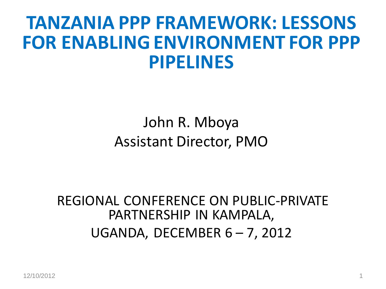### **TANZANIA PPP FRAMEWORK: LESSONS FOR ENABLING ENVIRONMENT FOR PPP PIPELINES**

#### John R. Mboya Assistant Director, PMO

REGIONAL CONFERENCE ON PUBLIC-PRIVATE PARTNERSHIP IN KAMPALA, UGANDA, DECEMBER  $6 - 7$ , 2012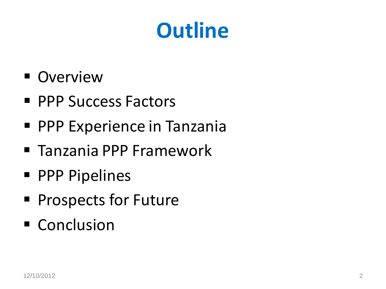## **Outline**

- **Overview**
- **PPP Success Factors**
- **PPP Experience in Tanzania**
- Tanzania PPP Framework
- **PPP Pipelines**
- **Prospects for Future**
- Conclusion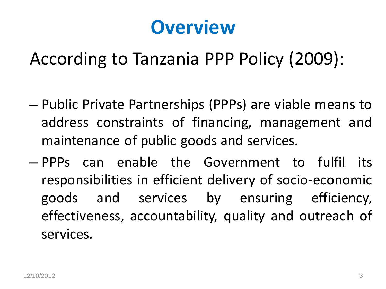### **Overview**

According to Tanzania PPP Policy (2009):

- Public Private Partnerships (PPPs) are viable means to address constraints of financing, management and maintenance of public goods and services.
- PPPs can enable the Government to fulfil its responsibilities in efficient delivery of socio-economic goods and services by ensuring efficiency, effectiveness, accountability, quality and outreach of services.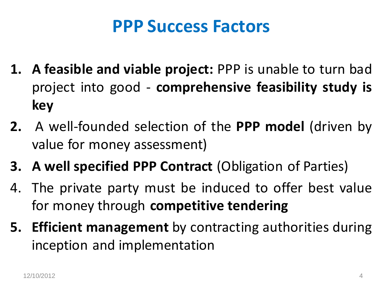#### **PPP Success Factors**

- **1. A feasible and viable project:** PPP is unable to turn bad project into good - **comprehensive feasibility study is key**
- **2.** A well-founded selection of the **PPP model** (driven by value for money assessment)
- **3. A well specified PPP Contract** (Obligation of Parties)
- 4. The private party must be induced to offer best value for money through **competitive tendering**
- **5. Efficient management** by contracting authorities during inception and implementation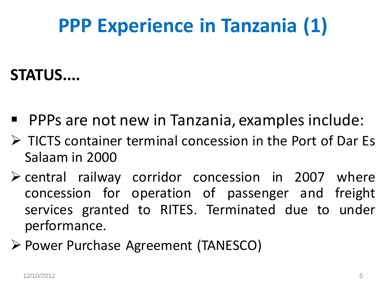### **PPP Experience in Tanzania (1)**

#### **STATUS....**

- **PPPs are not new in Tanzania, examples include:**
- $\triangleright$  TICTS container terminal concession in the Port of Dar Es Salaam in 2000
- $\triangleright$  central railway corridor concession in 2007 where concession for operation of passenger and freight services granted to RITES. Terminated due to under performance.
- Power Purchase Agreement (TANESCO)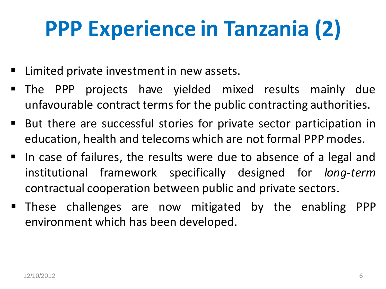# **PPP Experience in Tanzania (2)**

- **E** Limited private investment in new assets.
- The PPP projects have yielded mixed results mainly due unfavourable contract terms for the public contracting authorities.
- But there are successful stories for private sector participation in education, health and telecoms which are not formal PPP modes.
- $\blacksquare$  In case of failures, the results were due to absence of a legal and institutional framework specifically designed for *long-term* contractual cooperation between public and private sectors.
- These challenges are now mitigated by the enabling PPP environment which has been developed.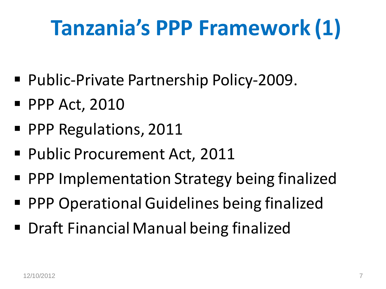# **Tanzania's PPP Framework (1)**

- Public-Private Partnership Policy-2009.
- **PPP Act, 2010**
- **PPP Regulations, 2011**
- Public Procurement Act, 2011
- **PPP Implementation Strategy being finalized**
- PPP Operational Guidelines being finalized
- Draft Financial Manual being finalized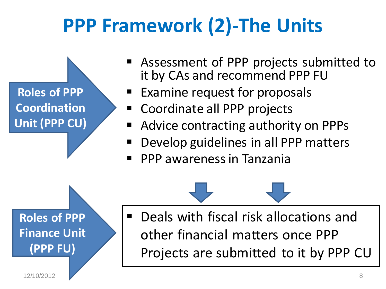### **PPP Framework (2)-The Units**



- Assessment of PPP projects submitted to it by CAs and recommend PPP FU
- Examine request for proposals
- Coordinate all PPP projects
- Advice contracting authority on PPPs
- Develop guidelines in all PPP matters
- PPP awarenessin Tanzania

 Deals with fiscal risk allocations and other financial matters once PPP Projects are submitted to it by PPP CU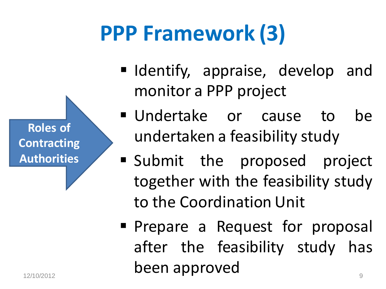**Roles of Contracting Authorities**

# **PPP Framework (3)**

- I Identify, appraise, develop and monitor a PPP project
- Undertake or cause to be undertaken a feasibility study
- Submit the proposed project together with the feasibility study to the Coordination Unit
- **Prepare a Request for proposal** after the feasibility study has been approved 12/10/2012 9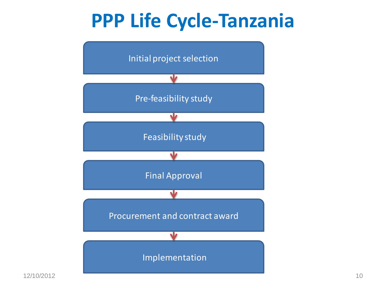### **PPP Life Cycle-Tanzania**

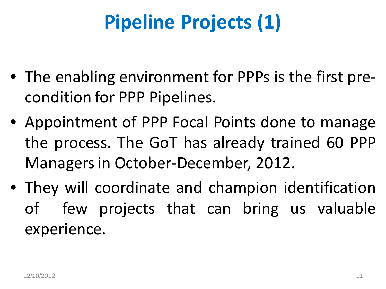## **Pipeline Projects (1)**

- The enabling environment for PPPs is the first precondition for PPP Pipelines.
- Appointment of PPP Focal Points done to manage the process. The GoT has already trained 60 PPP Managersin October-December, 2012.
- They will coordinate and champion identification of few projects that can bring us valuable experience.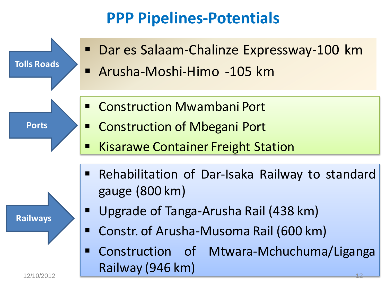#### **PPP Pipelines-Potentials**

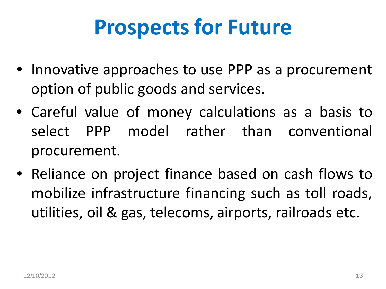## **Prospects for Future**

- Innovative approaches to use PPP as a procurement option of public goods and services.
- Careful value of money calculations as a basis to select PPP model rather than conventional procurement.
- Reliance on project finance based on cash flows to mobilize infrastructure financing such as toll roads, utilities, oil & gas, telecoms, airports, railroads etc.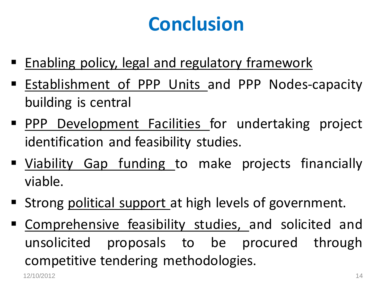### **Conclusion**

- **Enabling policy, legal and regulatory framework**
- **Establishment of PPP Units and PPP Nodes-capacity** building is central
- **PPP Development Facilities for undertaking project** identification and feasibility studies.
- Viability Gap funding to make projects financially viable.
- Strong political support at high levels of government.
- Comprehensive feasibility studies, and solicited and unsolicited proposals to be procured through competitive tendering methodologies.